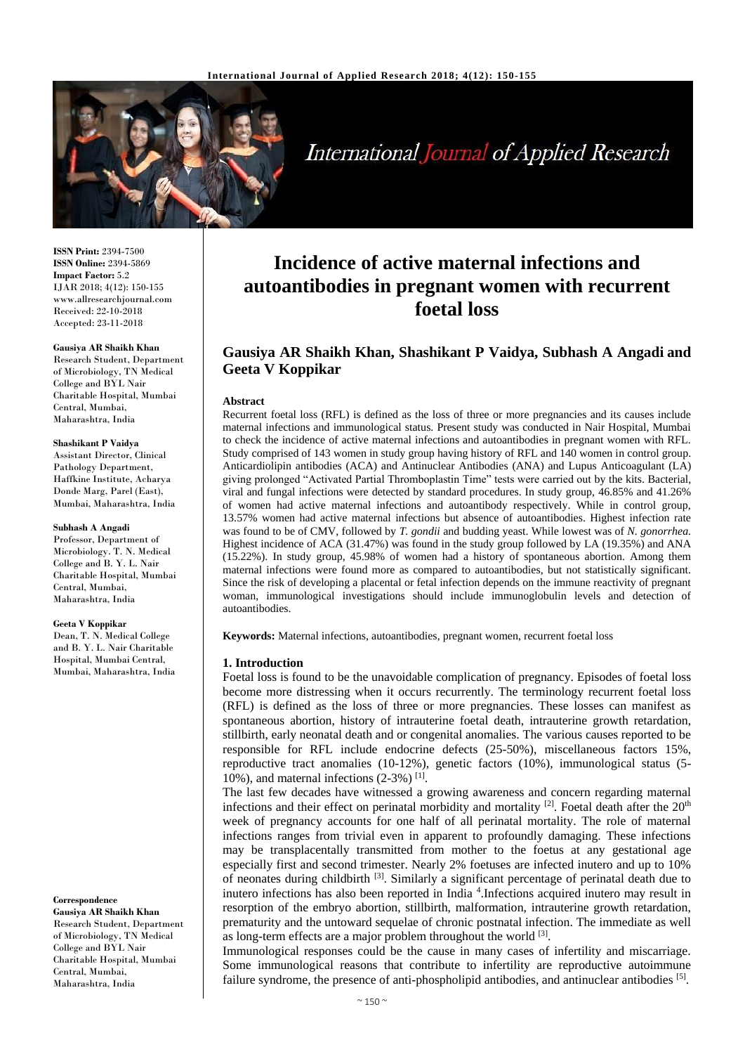

International Journal of Applied Research

**ISSN Print:** 2394-7500 **ISSN Online:** 2394-5869 **Impact Factor:** 5.2 IJAR 2018; 4(12): 150-155 www.allresearchjournal.com Received: 22-10-2018 Accepted: 23-11-2018

# **Gausiya AR Shaikh Khan**

Research Student, Department of Microbiology, TN Medical College and BYL Nair Charitable Hospital, Mumbai Central, Mumbai, Maharashtra, India

#### **Shashikant P Vaidya**

Assistant Director, Clinical Pathology Department, Haffkine Institute, Acharya Donde Marg, Parel (East), Mumbai, Maharashtra, India

#### **Subhash A Angadi**

Professor, Department of Microbiology. T. N. Medical College and B. Y. L. Nair Charitable Hospital, Mumbai Central, Mumbai, Maharashtra, India

#### **Geeta V Koppikar**

Dean, T. N. Medical College and B. Y. L. Nair Charitable Hospital, Mumbai Central, Mumbai, Maharashtra, India

#### **Correspondence**

**Gausiya AR Shaikh Khan** Research Student, Department of Microbiology, TN Medical College and BYL Nair Charitable Hospital, Mumbai Central, Mumbai, Maharashtra, India

# **Incidence of active maternal infections and autoantibodies in pregnant women with recurrent foetal loss**

# **Gausiya AR Shaikh Khan, Shashikant P Vaidya, Subhash A Angadi and Geeta V Koppikar**

#### **Abstract**

Recurrent foetal loss (RFL) is defined as the loss of three or more pregnancies and its causes include maternal infections and immunological status. Present study was conducted in Nair Hospital, Mumbai to check the incidence of active maternal infections and autoantibodies in pregnant women with RFL. Study comprised of 143 women in study group having history of RFL and 140 women in control group. Anticardiolipin antibodies (ACA) and Antinuclear Antibodies (ANA) and Lupus Anticoagulant (LA) giving prolonged "Activated Partial Thromboplastin Time" tests were carried out by the kits. Bacterial, viral and fungal infections were detected by standard procedures. In study group, 46.85% and 41.26% of women had active maternal infections and autoantibody respectively. While in control group, 13.57% women had active maternal infections but absence of autoantibodies. Highest infection rate was found to be of CMV, followed by *T. gondii* and budding yeast. While lowest was of *N. gonorrhea.*  Highest incidence of ACA (31.47%) was found in the study group followed by LA (19.35%) and ANA (15.22%). In study group, 45.98% of women had a history of spontaneous abortion. Among them maternal infections were found more as compared to autoantibodies, but not statistically significant. Since the risk of developing a placental or fetal infection depends on the immune reactivity of pregnant woman, immunological investigations should include immunoglobulin levels and detection of autoantibodies.

**Keywords:** Maternal infections, autoantibodies, pregnant women, recurrent foetal loss

#### **1. Introduction**

Foetal loss is found to be the unavoidable complication of pregnancy. Episodes of foetal loss become more distressing when it occurs recurrently. The terminology recurrent foetal loss (RFL) is defined as the loss of three or more pregnancies. These losses can manifest as spontaneous abortion, history of intrauterine foetal death, intrauterine growth retardation, stillbirth, early neonatal death and or congenital anomalies. The various causes reported to be responsible for RFL include endocrine defects (25-50%), miscellaneous factors 15%, reproductive tract anomalies (10-12%), genetic factors (10%), immunological status (5- 10%), and maternal infections  $(2-3\%)$ <sup>[1]</sup>.

The last few decades have witnessed a growing awareness and concern regarding maternal infections and their effect on perinatal morbidity and mortality  $[2]$ . Foetal death after the  $20<sup>th</sup>$ week of pregnancy accounts for one half of all perinatal mortality. The role of maternal infections ranges from trivial even in apparent to profoundly damaging. These infections may be transplacentally transmitted from mother to the foetus at any gestational age especially first and second trimester. Nearly 2% foetuses are infected inutero and up to 10% of neonates during childbirth <sup>[3]</sup>. Similarly a significant percentage of perinatal death due to inutero infections has also been reported in India <sup>4</sup> .Infections acquired inutero may result in resorption of the embryo abortion, stillbirth, malformation, intrauterine growth retardation, prematurity and the untoward sequelae of chronic postnatal infection. The immediate as well as long-term effects are a major problem throughout the world [3].

Immunological responses could be the cause in many cases of infertility and miscarriage. Some immunological reasons that contribute to infertility are reproductive autoimmune failure syndrome, the presence of anti-phospholipid antibodies, and antinuclear antibodies [5].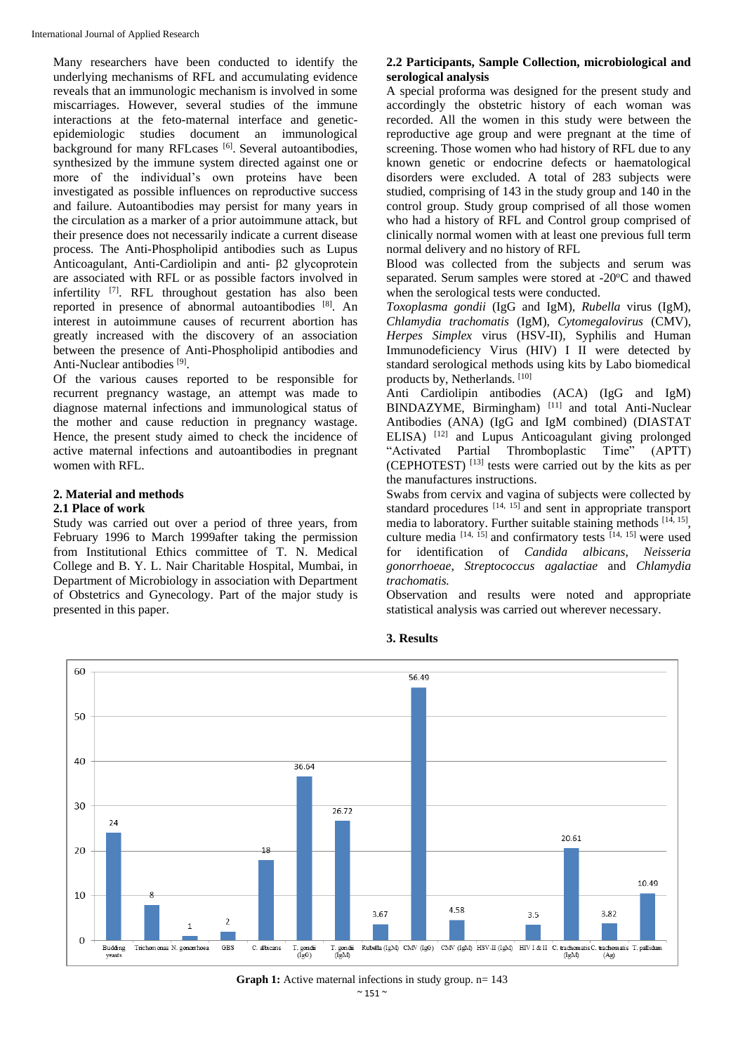Many researchers have been conducted to identify the underlying mechanisms of RFL and accumulating evidence reveals that an immunologic mechanism is involved in some miscarriages. However, several studies of the immune interactions at the feto-maternal interface and geneticepidemiologic studies document an immunological background for many RFLcases<sup>[6]</sup>. Several autoantibodies, synthesized by the immune system directed against one or more of the individual's own proteins have been investigated as possible influences on reproductive success and failure. Autoantibodies may persist for many years in the circulation as a marker of a prior autoimmune attack, but their presence does not necessarily indicate a current disease process. The Anti-Phospholipid antibodies such as Lupus Anticoagulant, Anti-Cardiolipin and anti- β2 glycoprotein are associated with RFL or as possible factors involved in infertility <sup>[7]</sup>. RFL throughout gestation has also been reported in presence of abnormal autoantibodies [8]. An interest in autoimmune causes of recurrent abortion has greatly increased with the discovery of an association between the presence of Anti-Phospholipid antibodies and Anti-Nuclear antibodies<sup>[9]</sup>.

Of the various causes reported to be responsible for recurrent pregnancy wastage, an attempt was made to diagnose maternal infections and immunological status of the mother and cause reduction in pregnancy wastage. Hence, the present study aimed to check the incidence of active maternal infections and autoantibodies in pregnant women with RFL.

#### **2. Material and methods 2.1 Place of work**

Study was carried out over a period of three years, from February 1996 to March 1999after taking the permission from Institutional Ethics committee of T. N. Medical College and B. Y. L. Nair Charitable Hospital, Mumbai, in Department of Microbiology in association with Department of Obstetrics and Gynecology. Part of the major study is presented in this paper.

## **2.2 Participants, Sample Collection, microbiological and serological analysis**

A special proforma was designed for the present study and accordingly the obstetric history of each woman was recorded. All the women in this study were between the reproductive age group and were pregnant at the time of screening. Those women who had history of RFL due to any known genetic or endocrine defects or haematological disorders were excluded. A total of 283 subjects were studied, comprising of 143 in the study group and 140 in the control group. Study group comprised of all those women who had a history of RFL and Control group comprised of clinically normal women with at least one previous full term normal delivery and no history of RFL

Blood was collected from the subjects and serum was separated. Serum samples were stored at -20°C and thawed when the serological tests were conducted.

*Toxoplasma gondii* (IgG and IgM), *Rubella* virus (IgM), *Chlamydia trachomatis* (IgM), *Cytomegalovirus* (CMV), *Herpes Simplex* virus (HSV-II), Syphilis and Human Immunodeficiency Virus (HIV) I II were detected by standard serological methods using kits by Labo biomedical products by, Netherlands. [10]

Anti Cardiolipin antibodies (ACA) (IgG and IgM) BINDAZYME, Birmingham)<sup>[11]</sup> and total Anti-Nuclear Antibodies (ANA) (IgG and IgM combined) (DIASTAT ELISA)<sup>[12]</sup> and Lupus Anticoagulant giving prolonged "Activated Partial Thromboplastic Time" (APTT) (CEPHOTEST) [13] tests were carried out by the kits as per the manufactures instructions.

Swabs from cervix and vagina of subjects were collected by standard procedures  $[14, 15]$  and sent in appropriate transport media to laboratory. Further suitable staining methods [14, 15], culture media  $[14, 15]$  and confirmatory tests  $[14, 15]$  were used for identification of *Candida albicans*, *Neisseria gonorrhoeae*, *Streptococcus agalactiae* and *Chlamydia trachomatis.*

Observation and results were noted and appropriate statistical analysis was carried out wherever necessary.



### **3. Results**

 $~^{\sim}$  151  $~^{\sim}$ **Graph 1:** Active maternal infections in study group. n= 143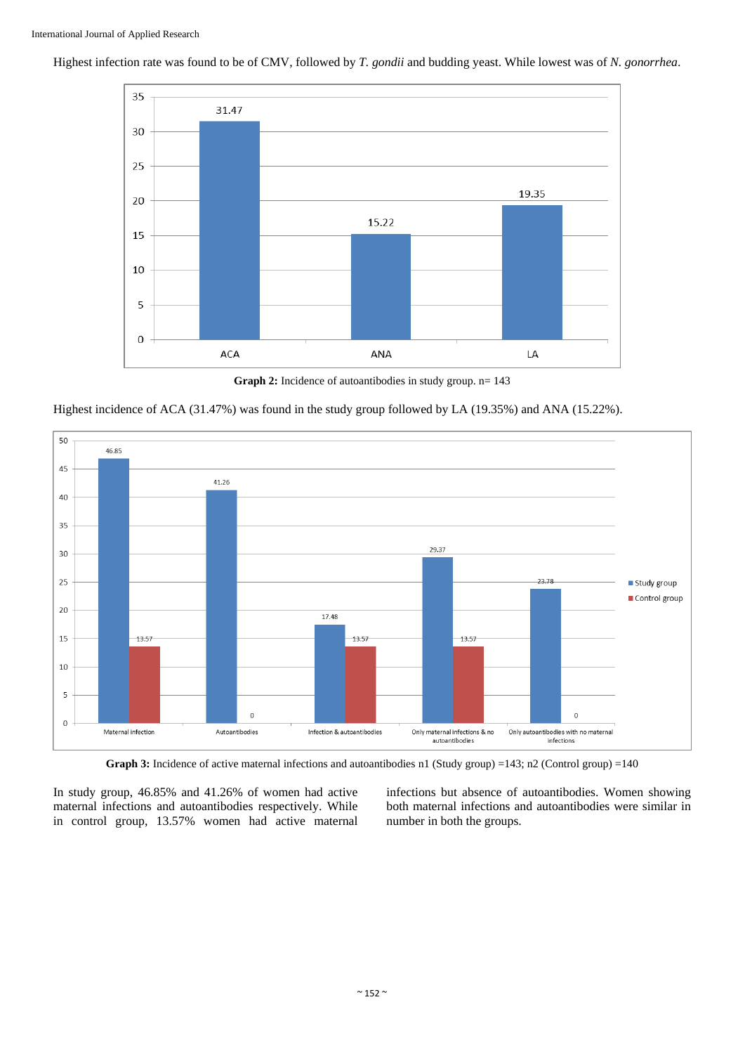

Highest infection rate was found to be of CMV, followed by *T. gondii* and budding yeast. While lowest was of *N. gonorrhea*.

**Graph 2:** Incidence of autoantibodies in study group. n= 143





**Graph 3:** Incidence of active maternal infections and autoantibodies n1 (Study group) =143; n2 (Control group) =140

In study group, 46.85% and 41.26% of women had active maternal infections and autoantibodies respectively. While in control group, 13.57% women had active maternal

infections but absence of autoantibodies. Women showing both maternal infections and autoantibodies were similar in number in both the groups.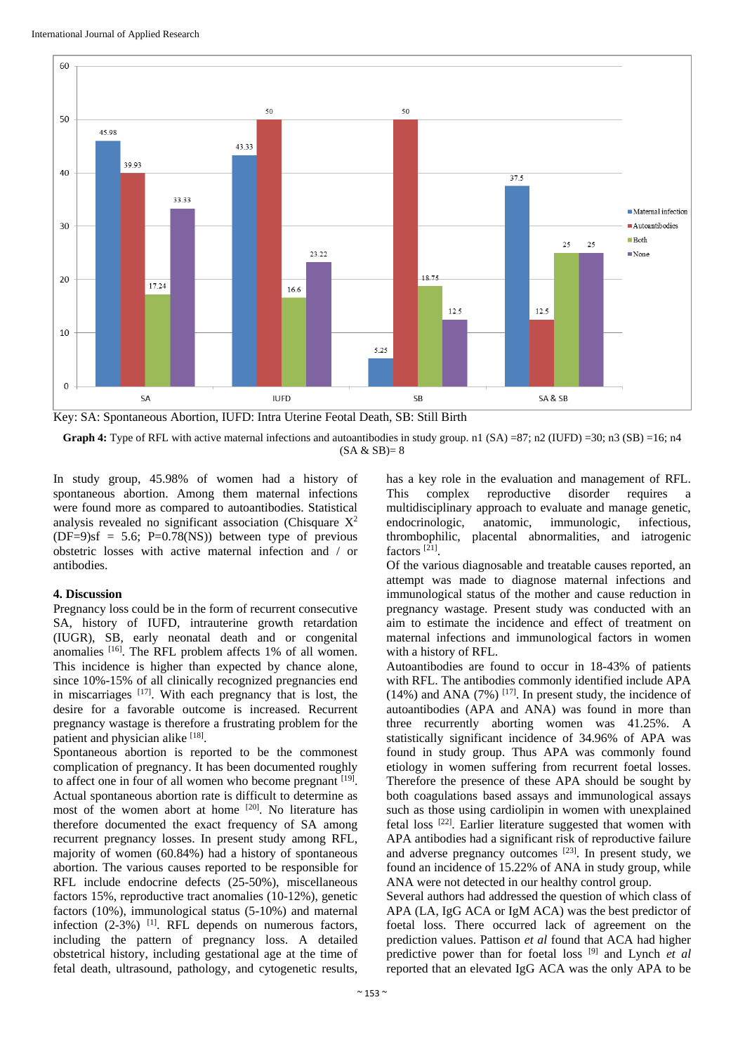

**Graph 4:** Type of RFL with active maternal infections and autoantibodies in study group. n1 (SA) =87; n2 (IUFD) =30; n3 (SB) =16; n4

 $(SA & SP) = 8$ 

In study group, 45.98% of women had a history of spontaneous abortion. Among them maternal infections were found more as compared to autoantibodies. Statistical analysis revealed no significant association (Chisquare  $X^2$  $(DF=9)$ sf = 5.6; P=0.78(NS)) between type of previous obstetric losses with active maternal infection and / or antibodies.

## **4. Discussion**

Pregnancy loss could be in the form of recurrent consecutive SA, history of IUFD, intrauterine growth retardation (IUGR), SB, early neonatal death and or congenital anomalies  $[16]$ . The RFL problem affects 1% of all women. This incidence is higher than expected by chance alone, since 10%-15% of all clinically recognized pregnancies end in miscarriages [17]. With each pregnancy that is lost, the desire for a favorable outcome is increased. Recurrent pregnancy wastage is therefore a frustrating problem for the patient and physician alike [18].

Spontaneous abortion is reported to be the commonest complication of pregnancy. It has been documented roughly to affect one in four of all women who become pregnant [19]. Actual spontaneous abortion rate is difficult to determine as most of the women abort at home [20] . No literature has therefore documented the exact frequency of SA among recurrent pregnancy losses. In present study among RFL, majority of women (60.84%) had a history of spontaneous abortion. The various causes reported to be responsible for RFL include endocrine defects (25-50%), miscellaneous factors 15%, reproductive tract anomalies (10-12%), genetic factors (10%), immunological status (5-10%) and maternal infection  $(2-3\%)$ <sup>[1]</sup>. RFL depends on numerous factors, including the pattern of pregnancy loss. A detailed obstetrical history, including gestational age at the time of fetal death, ultrasound, pathology, and cytogenetic results,

has a key role in the evaluation and management of RFL. This complex reproductive disorder requires a multidisciplinary approach to evaluate and manage genetic, endocrinologic, anatomic, immunologic, infectious, thrombophilic, placental abnormalities, and iatrogenic factors<sup>[21]</sup>.

Of the various diagnosable and treatable causes reported, an attempt was made to diagnose maternal infections and immunological status of the mother and cause reduction in pregnancy wastage. Present study was conducted with an aim to estimate the incidence and effect of treatment on maternal infections and immunological factors in women with a history of RFL.

Autoantibodies are found to occur in 18-43% of patients with RFL. The antibodies commonly identified include APA  $(14%)$  and ANA  $(7%)$  <sup>[17]</sup>. In present study, the incidence of autoantibodies (APA and ANA) was found in more than three recurrently aborting women was 41.25%. A statistically significant incidence of 34.96% of APA was found in study group. Thus APA was commonly found etiology in women suffering from recurrent foetal losses. Therefore the presence of these APA should be sought by both coagulations based assays and immunological assays such as those using cardiolipin in women with unexplained fetal loss <a>[22]</a>. Earlier literature suggested that women with APA antibodies had a significant risk of reproductive failure and adverse pregnancy outcomes [23] . In present study, we found an incidence of 15.22% of ANA in study group, while ANA were not detected in our healthy control group.

Several authors had addressed the question of which class of APA (LA, IgG ACA or IgM ACA) was the best predictor of foetal loss. There occurred lack of agreement on the prediction values. Pattison *et al* found that ACA had higher predictive power than for foetal loss [9] and Lynch *et al* reported that an elevated IgG ACA was the only APA to be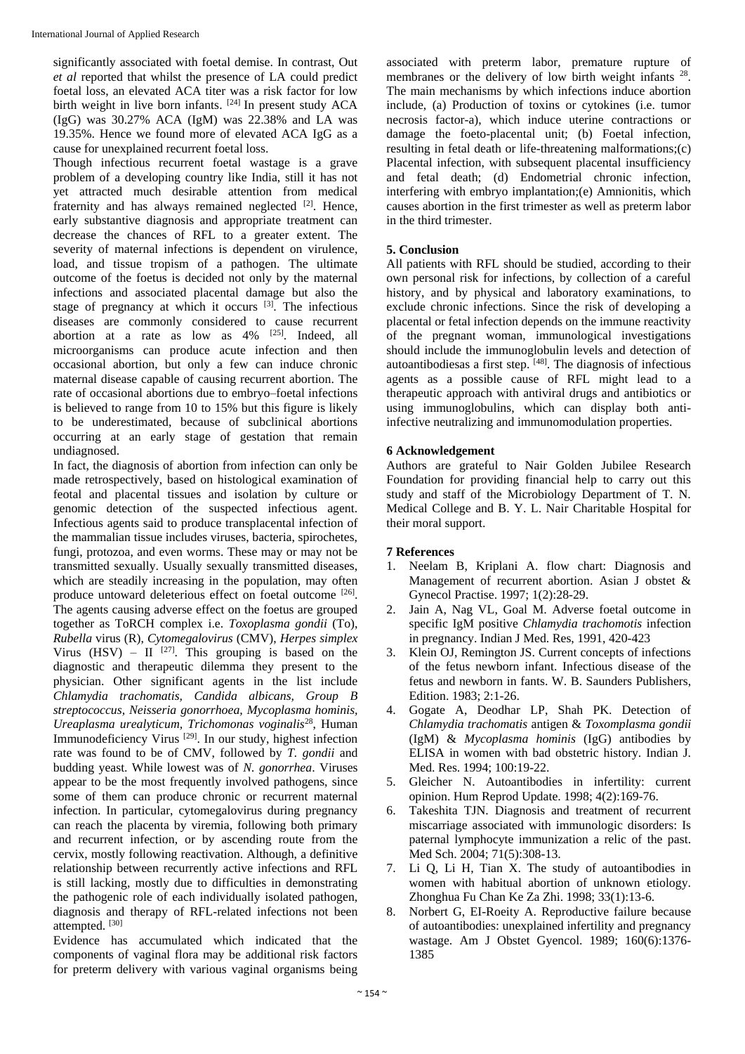significantly associated with foetal demise. In contrast, Out *et al* reported that whilst the presence of LA could predict foetal loss, an elevated ACA titer was a risk factor for low birth weight in live born infants.  $[24]$  In present study ACA (IgG) was 30.27% ACA (IgM) was 22.38% and LA was 19.35%. Hence we found more of elevated ACA IgG as a cause for unexplained recurrent foetal loss.

Though infectious recurrent foetal wastage is a grave problem of a developing country like India, still it has not yet attracted much desirable attention from medical fraternity and has always remained neglected <sup>[2]</sup>. Hence, early substantive diagnosis and appropriate treatment can decrease the chances of RFL to a greater extent. The severity of maternal infections is dependent on virulence, load, and tissue tropism of a pathogen. The ultimate outcome of the foetus is decided not only by the maternal infections and associated placental damage but also the stage of pregnancy at which it occurs  $[3]$ . The infectious diseases are commonly considered to cause recurrent abortion at a rate as low as  $4\%$  <sup>[25]</sup>. Indeed, all microorganisms can produce acute infection and then occasional abortion, but only a few can induce chronic maternal disease capable of causing recurrent abortion. The rate of occasional abortions due to embryo–foetal infections is believed to range from 10 to 15% but this figure is likely to be underestimated, because of subclinical abortions occurring at an early stage of gestation that remain undiagnosed.

In fact, the diagnosis of abortion from infection can only be made retrospectively, based on histological examination of feotal and placental tissues and isolation by culture or genomic detection of the suspected infectious agent. Infectious agents said to produce transplacental infection of the mammalian tissue includes viruses, bacteria, spirochetes, fungi, protozoa, and even worms. These may or may not be transmitted sexually. Usually sexually transmitted diseases, which are steadily increasing in the population, may often produce untoward deleterious effect on foetal outcome [26]. The agents causing adverse effect on the foetus are grouped together as ToRCH complex i.e. *Toxoplasma gondii* (To), *Rubella* virus (R), *Cytomegalovirus* (CMV), *Herpes simplex* Virus (HSV) –  $II$  <sup>[27]</sup>. This grouping is based on the diagnostic and therapeutic dilemma they present to the physician. Other significant agents in the list include *Chlamydia trachomatis, Candida albicans, Group B streptococcus, Neisseria gonorrhoea, Mycoplasma hominis, Ureaplasma urealyticum, Trichomonas voginalis*<sup>28</sup>, Human Immunodeficiency Virus<sup>[29]</sup>. In our study, highest infection rate was found to be of CMV, followed by *T. gondii* and budding yeast. While lowest was of *N. gonorrhea*. Viruses appear to be the most frequently involved pathogens, since some of them can produce chronic or recurrent maternal infection. In particular, cytomegalovirus during pregnancy can reach the placenta by viremia, following both primary and recurrent infection, or by ascending route from the cervix, mostly following reactivation. Although, a definitive relationship between recurrently active infections and RFL is still lacking, mostly due to difficulties in demonstrating the pathogenic role of each individually isolated pathogen, diagnosis and therapy of RFL-related infections not been attempted. [30]

Evidence has accumulated which indicated that the components of vaginal flora may be additional risk factors for preterm delivery with various vaginal organisms being

associated with preterm labor, premature rupture of membranes or the delivery of low birth weight infants <sup>28</sup>. The main mechanisms by which infections induce abortion include, (a) Production of toxins or cytokines (i.e. tumor necrosis factor-a), which induce uterine contractions or damage the foeto-placental unit; (b) Foetal infection, resulting in fetal death or life-threatening malformations;(c) Placental infection, with subsequent placental insufficiency and fetal death; (d) Endometrial chronic infection, interfering with embryo implantation;(e) Amnionitis, which causes abortion in the first trimester as well as preterm labor in the third trimester.

# **5. Conclusion**

All patients with RFL should be studied, according to their own personal risk for infections, by collection of a careful history, and by physical and laboratory examinations, to exclude chronic infections. Since the risk of developing a placental or fetal infection depends on the immune reactivity of the pregnant woman, immunological investigations should include the immunoglobulin levels and detection of autoantibodiesas a first step. [48] . The diagnosis of infectious agents as a possible cause of RFL might lead to a therapeutic approach with antiviral drugs and antibiotics or using immunoglobulins, which can display both antiinfective neutralizing and immunomodulation properties.

# **6 Acknowledgement**

Authors are grateful to Nair Golden Jubilee Research Foundation for providing financial help to carry out this study and staff of the Microbiology Department of T. N. Medical College and B. Y. L. Nair Charitable Hospital for their moral support.

# **7 References**

- 1. Neelam B, Kriplani A. flow chart: Diagnosis and Management of recurrent abortion. Asian J obstet & Gynecol Practise. 1997; 1(2):28-29.
- 2. Jain A, Nag VL, Goal M. Adverse foetal outcome in specific IgM positive *Chlamydia trachomotis* infection in pregnancy. Indian J Med. Res, 1991, 420-423
- 3. Klein OJ, Remington JS. Current concepts of infections of the fetus newborn infant. Infectious disease of the fetus and newborn in fants. W. B. Saunders Publishers, Edition. 1983; 2:1-26.
- 4. Gogate A, Deodhar LP, Shah PK. Detection of *Chlamydia trachomatis* antigen & *Toxomplasma gondii* (IgM) & *Mycoplasma hominis* (IgG) antibodies by ELISA in women with bad obstetric history. Indian J. Med. Res. 1994; 100:19-22.
- 5. Gleicher N. Autoantibodies in infertility: current opinion. Hum Reprod Update. 1998; 4(2):169-76.
- 6. Takeshita TJN. Diagnosis and treatment of recurrent miscarriage associated with immunologic disorders: Is paternal lymphocyte immunization a relic of the past. Med Sch. 2004; 71(5):308-13.
- 7. Li Q, Li H, Tian X. The study of autoantibodies in women with habitual abortion of unknown etiology. Zhonghua Fu Chan Ke Za Zhi. 1998; 33(1):13-6.
- 8. Norbert G, EI-Roeity A. Reproductive failure because of autoantibodies: unexplained infertility and pregnancy wastage. Am J Obstet Gyencol. 1989; 160(6):1376- 1385